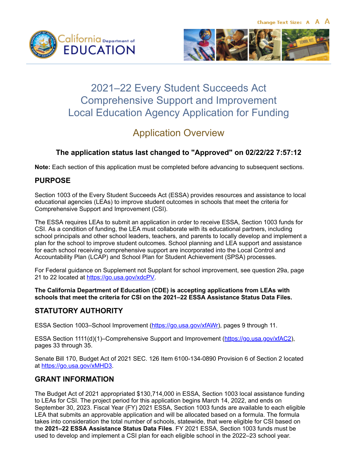Change Text Size: A A A





# 2021–22 Every Student Succeeds Act Comprehensive Support and Improvement Local Education Agency Application for Funding

# Application Overview

# **The application status last changed to "Approved" on 02/22/22 7:57:12**

**Note:** Each section of this application must be completed before advancing to subsequent sections.

## **PURPOSE**

Section 1003 of the Every Student Succeeds Act (ESSA) provides resources and assistance to local educational agencies (LEAs) to improve student outcomes in schools that meet the criteria for Comprehensive Support and Improvement (CSI).

The ESSA requires LEAs to submit an application in order to receive ESSA, Section 1003 funds for CSI. As a condition of funding, the LEA must collaborate with its educational partners, including school principals and other school leaders, teachers, and parents to locally develop and implement a plan for the school to improve student outcomes. School planning and LEA support and assistance for each school receiving comprehensive support are incorporated into the Local Control and Accountability Plan (LCAP) and School Plan for Student Achievement (SPSA) processes.

For Federal guidance on Supplement not Supplant for school improvement, see question 29a, page 21 to 22 located at <https://go.usa.gov/xdcPV>.

**The California Department of Education (CDE) is accepting applications from LEAs with schools that meet the criteria for CSI on the 2021–22 ESSA Assistance Status Data Files.**

# **STATUTORY AUTHORITY**

ESSA Section 1003-School Improvement [\(https://go.usa.gov/xfAWr](https://go.usa.gov/xfAWr)), pages 9 through 11.

ESSA Section 1111(d)(1)–Comprehensive Support and Improvement [\(https://go.usa.gov/xfAC2\)](https://go.usa.gov/xfAC2), pages 33 through 35.

Senate Bill 170, Budget Act of 2021 SEC. 126 Item 6100-134-0890 Provision 6 of Section 2 located at<https://go.usa.gov/xMHD3>.

## **GRANT INFORMATION**

The Budget Act of 2021 appropriated \$130,714,000 in ESSA, Section 1003 local assistance funding to LEAs for CSI. The project period for this application begins March 14, 2022, and ends on September 30, 2023. Fiscal Year (FY) 2021 ESSA, Section 1003 funds are available to each eligible LEA that submits an approvable application and will be allocated based on a formula. The formula takes into consideration the total number of schools, statewide, that were eligible for CSI based on the **2021–22 ESSA Assistance Status Data Files**. FY 2021 ESSA, Section 1003 funds must be used to develop and implement a CSI plan for each eligible school in the 2022–23 school year.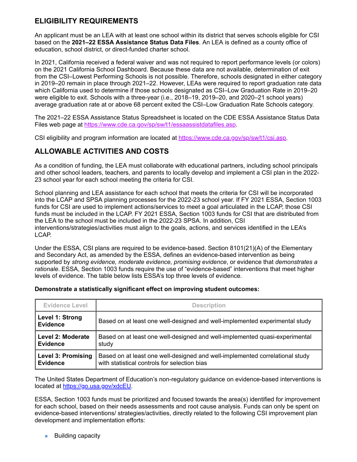### **ELIGIBILITY REQUIREMENTS**

An applicant must be an LEA with at least one school within its district that serves schools eligible for CSI based on the **2021–22 ESSA Assistance Status Data Files**. An LEA is defined as a county office of education, school district, or direct-funded charter school.

In 2021, California received a federal waiver and was not required to report performance levels (or colors) on the 2021 California School Dashboard. Because these data are not available, determination of exit from the CSI–Lowest Performing Schools is not possible. Therefore, schools designated in either category in 2019–20 remain in place through 2021–22. However, LEAs were required to report graduation rate data which California used to determine if those schools designated as CSI–Low Graduation Rate in 2019–20 were eligible to exit. Schools with a three-year (i.e., 2018–19, 2019–20, and 2020–21 school years) average graduation rate at or above 68 percent exited the CSI–Low Graduation Rate Schools category.

The 2021–22 ESSA Assistance Status Spreadsheet is located on the CDE ESSA Assistance Status Data Files web page at [https://www.cde.ca.gov/sp/sw/t1/essaassistdatafiles.asp.](https://www.cde.ca.gov/sp/sw/t1/essaassistdatafiles.asp)

CSI eligibility and program information are located at [https://www.cde.ca.gov/sp/sw/t1/csi.asp.](https://www.cde.ca.gov/sp/sw/t1/csi.asp)

## **ALLOWABLE ACTIVITIES AND COSTS**

As a condition of funding, the LEA must collaborate with educational partners, including school principals and other school leaders, teachers, and parents to locally develop and implement a CSI plan in the 2022- 23 school year for each school meeting the criteria for CSI.

School planning and LEA assistance for each school that meets the criteria for CSI will be incorporated into the LCAP and SPSA planning processes for the 2022-23 school year. If FY 2021 ESSA, Section 1003 funds for CSI are used to implement actions/services to meet a goal articulated in the LCAP, those CSI funds must be included in the LCAP. FY 2021 ESSA, Section 1003 funds for CSI that are distributed from the LEA to the school must be included in the 2022-23 SPSA. In addition, CSI interventions/strategies/activities must align to the goals, actions, and services identified in the LEA's LCAP.

Under the ESSA, CSI plans are required to be evidence-based. Section 8101(21)(A) of the Elementary and Secondary Act, as amended by the ESSA, defines an evidence-based intervention as being supported by *strong evidence, moderate evidence, promising evidence*, or evidence that *demonstrates a rationale*. ESSA, Section 1003 funds require the use of "evidence-based" interventions that meet higher levels of evidence. The table below lists ESSA's top three levels of evidence.

| <b>Evidence Level</b>              | <b>Description</b>                                                           |
|------------------------------------|------------------------------------------------------------------------------|
| Level 1: Strong<br><b>Evidence</b> | Based on at least one well-designed and well-implemented experimental study  |
| Level 2: Moderate                  | Based on at least one well-designed and well-implemented quasi-experimental  |
| <b>Evidence</b>                    | study                                                                        |
| <b>Level 3: Promising</b>          | Based on at least one well-designed and well-implemented correlational study |
| <b>Evidence</b>                    | with statistical controls for selection bias                                 |

#### **Demonstrate a statistically significant effect on improving student outcomes:**

The United States Department of Education's non-regulatory guidance on evidence-based interventions is located at [https://go.usa.gov/xdcEU.](https://go.usa.gov/xdcEU)

ESSA, Section 1003 funds must be prioritized and focused towards the area(s) identified for improvement for each school, based on their needs assessments and root cause analysis. Funds can only be spent on evidence-based interventions/ strategies/activities, directly related to the following CSI improvement plan development and implementation efforts:

**Building capacity**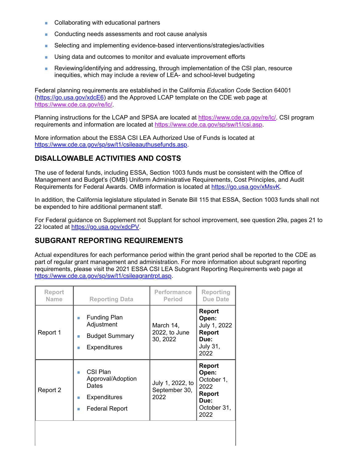- Collaborating with educational partners Ē.
- ä, Conducting needs assessments and root cause analysis
- Selecting and implementing evidence-based interventions/strategies/activities Ì.
- ä, Using data and outcomes to monitor and evaluate improvement efforts
- Reviewing/identifying and addressing, through implementation of the CSI plan, resource a. inequities, which may include a review of LEA- and school-level budgeting

Federal planning requirements are established in the California *Education Code* Section 64001 [\(https://go.usa.gov/xdcE6](https://go.usa.gov/xdcE6)) and the Approved LCAP template on the CDE web page at <https://www.cde.ca.gov/re/lc/>.

Planning instructions for the LCAP and SPSA are located at [https://www.cde.ca.gov/re/lc/.](https://www.cde.ca.gov/re/lc/) CSI program requirements and information are located at<https://www.cde.ca.gov/sp/sw/t1/csi.asp>.

More information about the ESSA CSI LEA Authorized Use of Funds is located at <https://www.cde.ca.gov/sp/sw/t1/csileaauthusefunds.asp>.

### **DISALLOWABLE ACTIVITIES AND COSTS**

The use of federal funds, including ESSA, Section 1003 funds must be consistent with the Office of Management and Budget's (OMB) Uniform Administrative Requirements, Cost Principles, and Audit Requirements for Federal Awards. OMB information is located at [https://go.usa.gov/xMsvK.](https://go.usa.gov/xMsvK)

In addition, the California legislature stipulated in Senate Bill 115 that ESSA, Section 1003 funds shall not be expended to hire additional permanent staff.

For Federal guidance on Supplement not Supplant for school improvement, see question 29a, pages 21 to 22 located at [https://go.usa.gov/xdcPV.](https://go.usa.gov/xdcPV)

### **SUBGRANT REPORTING REQUIREMENTS**

Actual expenditures for each performance period within the grant period shall be reported to the CDE as part of regular grant management and administration. For more information about subgrant reporting requirements, please visit the 2021 ESSA CSI LEA Subgrant Reporting Requirements web page at [https://www.cde.ca.gov/sp/sw/t1/csileagrantrpt.asp.](https://www.cde.ca.gov/sp/sw/t1/csileagrantrpt.asp)

| <b>Report</b><br><b>Funding Plan</b><br>Open:<br>ш<br>Adjustment<br>July 1, 2022<br>March 14,<br>2022, to June<br><b>Report</b><br>Report 1<br><b>Budget Summary</b><br>ш<br>30, 2022<br>Due:<br><b>July 31,</b><br><b>Expenditures</b><br>п<br>2022           | <b>Reporting</b><br><b>Due Date</b> |
|----------------------------------------------------------------------------------------------------------------------------------------------------------------------------------------------------------------------------------------------------------------|-------------------------------------|
|                                                                                                                                                                                                                                                                |                                     |
| <b>Report</b><br>CSI Plan<br>Open:<br>п<br>Approval/Adoption<br>October 1,<br>July 1, 2022, to<br>Dates<br>2022<br>September 30,<br>Report 2<br><b>Report</b><br>2022<br><b>Expenditures</b><br>ш<br>Due:<br>October 31,<br><b>Federal Report</b><br>ш<br>2022 |                                     |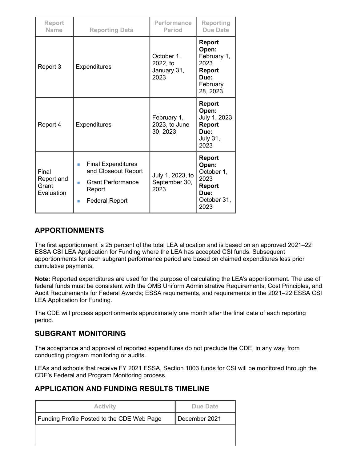| <b>Report</b><br><b>Name</b>               | <b>Reporting Data</b>                                                                                                           | Performance<br><b>Period</b>                  | Reporting<br><b>Due Date</b>                                                                   |
|--------------------------------------------|---------------------------------------------------------------------------------------------------------------------------------|-----------------------------------------------|------------------------------------------------------------------------------------------------|
| Report 3                                   | Expenditures                                                                                                                    | October 1,<br>2022, to<br>January 31,<br>2023 | <b>Report</b><br>Open:<br>February 1,<br>2023<br><b>Report</b><br>Due:<br>February<br>28, 2023 |
| Report 4                                   | <b>Expenditures</b>                                                                                                             | February 1,<br>2023, to June<br>30, 2023      | <b>Report</b><br>Open:<br>July 1, 2023<br><b>Report</b><br>Due:<br><b>July 31,</b><br>2023     |
| Final<br>Report and<br>Grant<br>Evaluation | <b>Final Expenditures</b><br>T.<br>and Closeout Report<br><b>Grant Performance</b><br>п<br>Report<br><b>Federal Report</b><br>ш | July 1, 2023, to<br>September 30,<br>2023     | <b>Report</b><br>Open:<br>October 1,<br>2023<br><b>Report</b><br>Due:<br>October 31,<br>2023   |

### **APPORTIONMENTS**

The first apportionment is 25 percent of the total LEA allocation and is based on an approved 2021–22 ESSA CSI LEA Application for Funding where the LEA has accepted CSI funds. Subsequent apportionments for each subgrant performance period are based on claimed expenditures less prior cumulative payments.

**Note:** Reported expenditures are used for the purpose of calculating the LEA's apportionment. The use of federal funds must be consistent with the OMB Uniform Administrative Requirements, Cost Principles, and Audit Requirements for Federal Awards; ESSA requirements, and requirements in the 2021–22 ESSA CSI LEA Application for Funding.

The CDE will process apportionments approximately one month after the final date of each reporting period.

### **SUBGRANT MONITORING**

The acceptance and approval of reported expenditures do not preclude the CDE, in any way, from conducting program monitoring or audits.

LEAs and schools that receive FY 2021 ESSA, Section 1003 funds for CSI will be monitored through the CDE's Federal and Program Monitoring process.

## **APPLICATION AND FUNDING RESULTS TIMELINE**

| <b>Activity</b>                            | Due Date      |
|--------------------------------------------|---------------|
| Funding Profile Posted to the CDE Web Page | December 2021 |
|                                            |               |
|                                            |               |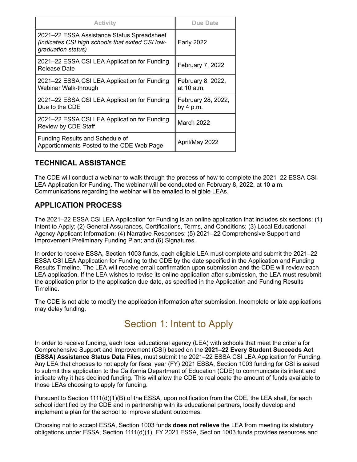| <b>Activity</b>                                                                                                      | Due Date                          |
|----------------------------------------------------------------------------------------------------------------------|-----------------------------------|
| 2021-22 ESSA Assistance Status Spreadsheet<br>(indicates CSI high schools that exited CSI low-<br>graduation status) | <b>Early 2022</b>                 |
| 2021-22 ESSA CSI LEA Application for Funding<br>Release Date                                                         | February 7, 2022                  |
| 2021-22 ESSA CSI LEA Application for Funding<br>Webinar Walk-through                                                 | February 8, 2022,<br>at 10 a.m.   |
| 2021-22 ESSA CSI LEA Application for Funding<br>Due to the CDE                                                       | February 28, 2022,<br>by $4 p.m.$ |
| 2021-22 ESSA CSI LEA Application for Funding<br>Review by CDE Staff                                                  | <b>March 2022</b>                 |
| <b>Funding Results and Schedule of</b><br>Apportionments Posted to the CDE Web Page                                  | April/May 2022                    |

## **TECHNICAL ASSISTANCE**

The CDE will conduct a webinar to walk through the process of how to complete the 2021–22 ESSA CSI LEA Application for Funding. The webinar will be conducted on February 8, 2022, at 10 a.m. Communications regarding the webinar will be emailed to eligible LEAs.

### **APPLICATION PROCESS**

The 2021–22 ESSA CSI LEA Application for Funding is an online application that includes six sections: (1) Intent to Apply; (2) General Assurances, Certifications, Terms, and Conditions; (3) Local Educational Agency Applicant Information; (4) Narrative Responses; (5) 2021–22 Comprehensive Support and Improvement Preliminary Funding Plan; and (6) Signatures.

In order to receive ESSA, Section 1003 funds, each eligible LEA must complete and submit the 2021–22 ESSA CSI LEA Application for Funding to the CDE by the date specified in the Application and Funding Results Timeline. The LEA will receive email confirmation upon submission and the CDE will review each LEA application. If the LEA wishes to revise its online application after submission, the LEA must resubmit the application prior to the application due date, as specified in the Application and Funding Results Timeline.

The CDE is not able to modify the application information after submission. Incomplete or late applications may delay funding.

# Section 1: Intent to Apply

In order to receive funding, each local educational agency (LEA) with schools that meet the criteria for Comprehensive Support and Improvement (CSI) based on the **2021–22 Every Student Succeeds Act (ESSA) Assistance Status Data Files**, must submit the 2021–22 ESSA CSI LEA Application for Funding. Any LEA that chooses to not apply for fiscal year (FY) 2021 ESSA, Section 1003 funding for CSI is asked to submit this application to the California Department of Education (CDE) to communicate its intent and indicate why it has declined funding. This will allow the CDE to reallocate the amount of funds available to those LEAs choosing to apply for funding.

Pursuant to Section 1111(d)(1)(B) of the ESSA, upon notification from the CDE, the LEA shall, for each school identified by the CDE and in partnership with its educational partners, locally develop and implement a plan for the school to improve student outcomes.

Choosing not to accept ESSA, Section 1003 funds **does not relieve** the LEA from meeting its statutory obligations under ESSA, Section 1111(d)(1). FY 2021 ESSA, Section 1003 funds provides resources and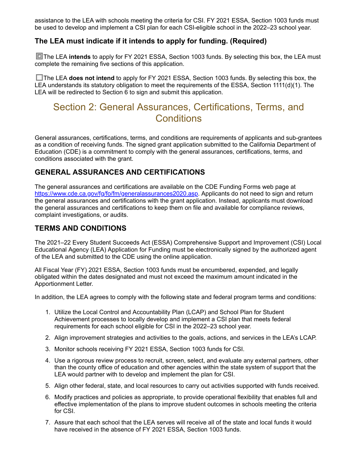assistance to the LEA with schools meeting the criteria for CSI. FY 2021 ESSA, Section 1003 funds must be used to develop and implement a CSI plan for each CSI-eligible school in the 2022–23 school year.

### **The LEA must indicate if it intends to apply for funding. (Required)**

**The LEA intends** to apply for FY 2021 ESSA, Section 1003 funds. By selecting this box, the LEA must complete the remaining five sections of this application.

The LEA **does not intend** to apply for FY 2021 ESSA, Section 1003 funds. By selecting this box, the LEA understands its statutory obligation to meet the requirements of the ESSA, Section 1111(d)(1). The LEA will be redirected to Section 6 to sign and submit this application.

# Section 2: General Assurances, Certifications, Terms, and **Conditions**

General assurances, certifications, terms, and conditions are requirements of applicants and sub-grantees as a condition of receiving funds. The signed grant application submitted to the California Department of Education (CDE) is a commitment to comply with the general assurances, certifications, terms, and conditions associated with the grant.

### **GENERAL ASSURANCES AND CERTIFICATIONS**

The general assurances and certifications are available on the CDE Funding Forms web page at [https://www.cde.ca.gov/fg/fo/fm/generalassurances2020.asp.](https://www.cde.ca.gov/fg/fo/fm/generalassurances2020.asp) Applicants do not need to sign and return the general assurances and certifications with the grant application. Instead, applicants must download the general assurances and certifications to keep them on file and available for compliance reviews, complaint investigations, or audits.

### **TERMS AND CONDITIONS**

The 2021–22 Every Student Succeeds Act (ESSA) Comprehensive Support and Improvement (CSI) Local Educational Agency (LEA) Application for Funding must be electronically signed by the authorized agent of the LEA and submitted to the CDE using the online application.

All Fiscal Year (FY) 2021 ESSA, Section 1003 funds must be encumbered, expended, and legally obligated within the dates designated and must not exceed the maximum amount indicated in the Apportionment Letter.

In addition, the LEA agrees to comply with the following state and federal program terms and conditions:

- 1. Utilize the Local Control and Accountability Plan (LCAP) and School Plan for Student Achievement processes to locally develop and implement a CSI plan that meets federal requirements for each school eligible for CSI in the 2022–23 school year.
- 2. Align improvement strategies and activities to the goals, actions, and services in the LEA's LCAP.
- 3. Monitor schools receiving FY 2021 ESSA, Section 1003 funds for CSI.
- 4. Use a rigorous review process to recruit, screen, select, and evaluate any external partners, other than the county office of education and other agencies within the state system of support that the LEA would partner with to develop and implement the plan for CSI.
- 5. Align other federal, state, and local resources to carry out activities supported with funds received.
- 6. Modify practices and policies as appropriate, to provide operational flexibility that enables full and effective implementation of the plans to improve student outcomes in schools meeting the criteria for CSI.
- 7. Assure that each school that the LEA serves will receive all of the state and local funds it would have received in the absence of FY 2021 ESSA, Section 1003 funds.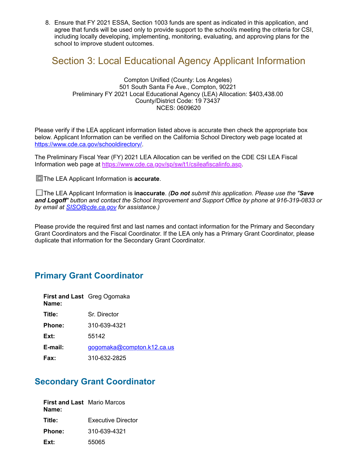8. Ensure that FY 2021 ESSA, Section 1003 funds are spent as indicated in this application, and agree that funds will be used only to provide support to the school/s meeting the criteria for CSI, including locally developing, implementing, monitoring, evaluating, and approving plans for the school to improve student outcomes.

# Section 3: Local Educational Agency Applicant Information

Compton Unified (County: Los Angeles) 501 South Santa Fe Ave., Compton, 90221 Preliminary FY 2021 Local Educational Agency (LEA) Allocation: \$403,438.00 County/District Code: 19 73437 NCES: 0609620

Please verify if the LEA applicant information listed above is accurate then check the appropriate box below. Applicant Information can be verified on the California School Directory web page located at [https://www.cde.ca.gov/schooldirectory/.](https://www.cde.ca.gov/schooldirectory/)

The Preliminary Fiscal Year (FY) 2021 LEA Allocation can be verified on the CDE CSI LEA Fiscal Information web page at [https://www.cde.ca.gov/sp/sw/t1/csileafiscalinfo.asp.](https://www.cde.ca.gov/sp/sw/t1/csileafiscalinfo.asp)

**The LEA Applicant Information is accurate.** 

The LEA Applicant Information is **inaccurate**. *(Do not submit this application. Please use the "Save and Logoff" button and contact the School Improvement and Support Office by phone at 916-319-0833 or by email at [SISO@cde.ca.gov](mailto:SISO@cde.ca.gov) for assistance.)*

Please provide the required first and last names and contact information for the Primary and Secondary Grant Coordinators and the Fiscal Coordinator. If the LEA only has a Primary Grant Coordinator, please duplicate that information for the Secondary Grant Coordinator.

# **Primary Grant Coordinator**

| Name:       | First and Last Greg Ogomaka |
|-------------|-----------------------------|
| Title:      | Sr. Director                |
| Phone:      | 310-639-4321                |
| Ext:        | 55142                       |
| E-mail:     | gogomaka@compton.k12.ca.us  |
| <b>Fax:</b> | 310-632-2825                |

# **Secondary Grant Coordinator**

| <b>First and Last</b> Mario Marcos<br>Name: |                    |
|---------------------------------------------|--------------------|
| Title:                                      | Executive Director |
| <b>Phone:</b>                               | 310-639-4321       |
| Ext:                                        | 55065              |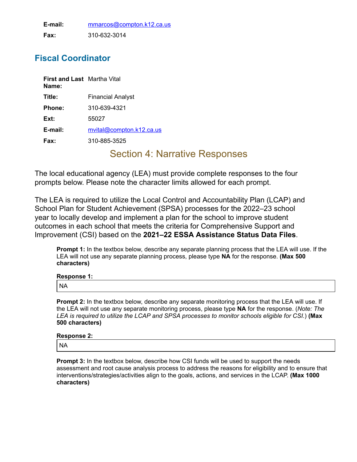**E-mail:** [mmarcos@compton.k12.ca.us](mailto:mmarcos@compton.k12.ca.us) **Fax:** 310-632-3014

# **Fiscal Coordinator**

| <b>First and Last</b> Martha Vital<br>Name: |                          |
|---------------------------------------------|--------------------------|
| Title:                                      | Financial Analyst        |
| Phone:                                      | 310-639-4321             |
| Ext:                                        | 55027                    |
| E-mail:                                     | mvital@compton.k12.ca.us |
| Fax:                                        | 310-885-3525             |

# Section 4: Narrative Responses

The local educational agency (LEA) must provide complete responses to the four prompts below. Please note the character limits allowed for each prompt.

The LEA is required to utilize the Local Control and Accountability Plan (LCAP) and School Plan for Student Achievement (SPSA) processes for the 2022–23 school year to locally develop and implement a plan for the school to improve student outcomes in each school that meets the criteria for Comprehensive Support and Improvement (CSI) based on the **2021–22 ESSA Assistance Status Data Files**.

**Prompt 1:** In the textbox below, describe any separate planning process that the LEA will use. If the LEA will not use any separate planning process, please type **NA** for the response. **(Max 500 characters)**

| <b>Response 1:</b> |  |
|--------------------|--|
| 'NA                |  |

**Prompt 2:** In the textbox below, describe any separate monitoring process that the LEA will use. If the LEA will not use any separate monitoring process, please type **NA** for the response. (*Note: The LEA is required to utilize the LCAP and SPSA processes to monitor schools eligible for CSI.*) **(Max 500 characters)**

| <b>Response 2:</b> |
|--------------------|
| <sup>I</sup> NA    |
|                    |

**Prompt 3:** In the textbox below, describe how CSI funds will be used to support the needs assessment and root cause analysis process to address the reasons for eligibility and to ensure that interventions/strategies/activities align to the goals, actions, and services in the LCAP. **(Max 1000 characters)**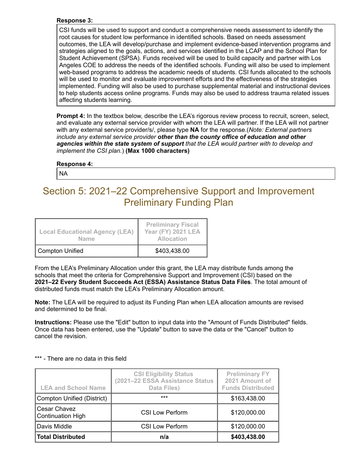#### **Response 3:**

CSI funds will be used to support and conduct a comprehensive needs assessment to identify the root causes for student low performance in identified schools. Based on needs assessment outcomes, the LEA will develop/purchase and implement evidence-based intervention programs and strategies aligned to the goals, actions, and services identified in the LCAP and the School Plan for Student Achievement (SPSA). Funds received will be used to build capacity and partner with Los Angeles COE to address the needs of the identified schools. Funding will also be used to implement web-based programs to address the academic needs of students. CSI funds allocated to the schools will be used to monitor and evaluate improvement efforts and the effectiveness of the strategies implemented. Funding will also be used to purchase supplemental material and instructional devices to help students access online programs. Funds may also be used to address trauma related issues affecting students learning.

**Prompt 4:** In the textbox below, describe the LEA's rigorous review process to recruit, screen, select, and evaluate any external service provider with whom the LEA will partner. If the LEA will not partner with any external service provider/s/, please type **NA** for the response.(*Note: External partners include any external service provider other than the county office of education and other agencies within the state system of support that the LEA would partner with to develop and implement the CSI plan.*) **(Max 1000 characters)**

#### **Response 4:**

NA

# Section 5: 2021–22 Comprehensive Support and Improvement Preliminary Funding Plan

| <b>Local Educational Agency (LEA)</b><br><b>Name</b> | <b>Preliminary Fiscal</b><br><b>Year (FY) 2021 LEA</b><br><b>Allocation</b> |
|------------------------------------------------------|-----------------------------------------------------------------------------|
| Compton Unified                                      | \$403,438.00                                                                |

From the LEA's Preliminary Allocation under this grant, the LEA may distribute funds among the schools that meet the criteria for Comprehensive Support and Improvement (CSI) based on the **2021–22 Every Student Succeeds Act (ESSA) Assistance Status Data Files**. The total amount of distributed funds must match the LEA's Preliminary Allocation amount.

**Note:** The LEA will be required to adjust its Funding Plan when LEA allocation amounts are revised and determined to be final.

**Instructions:** Please use the "Edit" button to input data into the "Amount of Funds Distributed" fields. Once data has been entered, use the "Update" button to save the data or the "Cancel" button to cancel the revision.

| <b>LEA and School Name</b>               | <b>CSI Eligibility Status</b><br>(2021-22 ESSA Assistance Status<br>Data Files) | <b>Preliminary FY</b><br>2021 Amount of<br><b>Funds Distributed</b> |
|------------------------------------------|---------------------------------------------------------------------------------|---------------------------------------------------------------------|
| <b>Compton Unified (District)</b>        | $***$                                                                           | \$163,438.00                                                        |
| Cesar Chavez<br><b>Continuation High</b> | <b>CSI Low Perform</b>                                                          | \$120,000.00                                                        |
| Davis Middle                             | <b>CSI Low Perform</b>                                                          | \$120,000.00                                                        |
| <b>Total Distributed</b>                 | n/a                                                                             | \$403,438.00                                                        |

#### \*\*\* - There are no data in this field